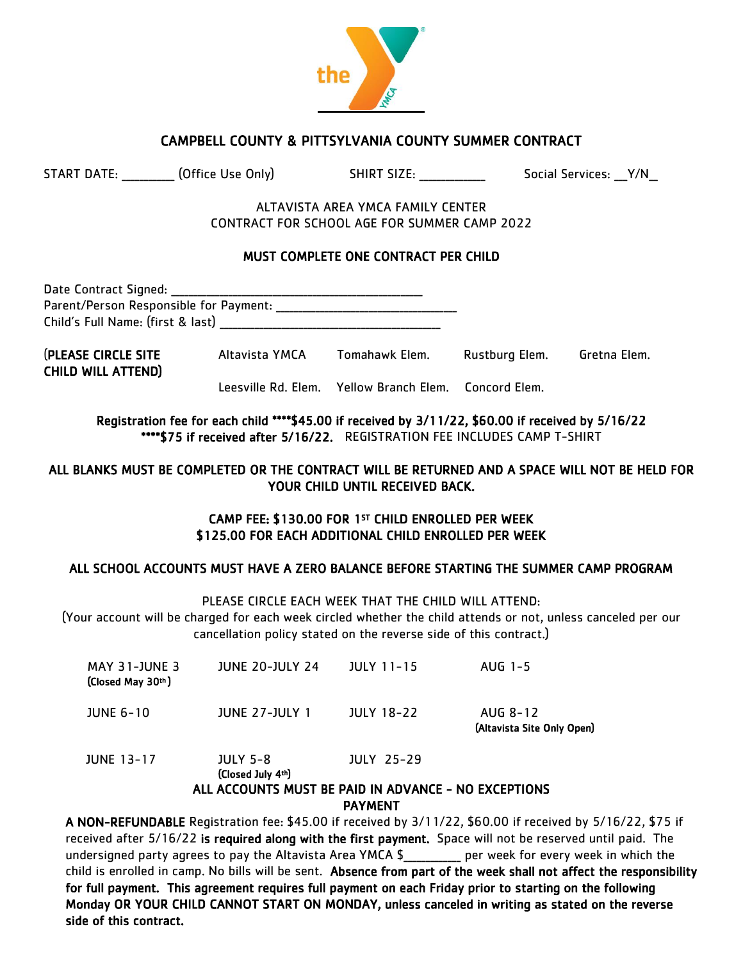

## CAMPBELL COUNTY & PITTSYLVANIA COUNTY SUMMER CONTRACT

| <b>START DATE:</b> |  | (Office Use 0 |  |
|--------------------|--|---------------|--|
|                    |  |               |  |

 $\mathsf{Only}$  SHIRT SIZE:  $\mathsf{S}$  Social Services:  $\mathsf{Y}/\mathsf{N}$ 

ALTAVISTA AREA YMCA FAMILY CENTER CONTRACT FOR SCHOOL AGE FOR SUMMER CAMP 2022

## MUST COMPLETE ONE CONTRACT PER CHILD

| Date Contract Signed:                  |  |
|----------------------------------------|--|
| Parent/Person Responsible for Payment: |  |
| Child's Full Name: (first & last)      |  |
|                                        |  |

(PLEASE CIRCLE SITE Altavista YMCA Tomahawk Elem. Rustburg Elem. Gretna Elem. CHILD WILL ATTEND)

Leesville Rd. Elem. Yellow Branch Elem. Concord Elem.

Registration fee for each child \*\*\*\*\$45.00 if received by 3/11/22, \$60.00 if received by 5/16/22 \*\*\*\*\$75 if received after 5/16/22. REGISTRATION FEE INCLUDES CAMP T-SHIRT

### ALL BLANKS MUST BE COMPLETED OR THE CONTRACT WILL BE RETURNED AND A SPACE WILL NOT BE HELD FOR YOUR CHILD UNTIL RECEIVED BACK.

## CAMP FEE: \$130.00 FOR 1ST CHILD ENROLLED PER WEEK \$125.00 FOR EACH ADDITIONAL CHILD ENROLLED PER WEEK

## ALL SCHOOL ACCOUNTS MUST HAVE A ZERO BALANCE BEFORE STARTING THE SUMMER CAMP PROGRAM

PLEASE CIRCLE EACH WEEK THAT THE CHILD WILL ATTEND:

(Your account will be charged for each week circled whether the child attends or not, unless canceled per our cancellation policy stated on the reverse side of this contract.)

| MAY 31-JUNE 3<br>(Closed May 30th) | <b>JUNE 20-JULY 24</b> | <b>JULY 11-15</b> | AUG 1-5                                |
|------------------------------------|------------------------|-------------------|----------------------------------------|
| JUNE 6-10                          | <b>JUNE 27-JULY 1</b>  | <b>JULY 18-22</b> | AUG 8-12<br>(Altavista Site Only Open) |
| <b>JUNE 13-17</b>                  | <b>JULY 5-8</b>        | <b>JULY 25-29</b> |                                        |

(Closed July 4th)

## ALL ACCOUNTS MUST BE PAID IN ADVANCE - NO EXCEPTIONS PAYMENT

A NON-REFUNDABLE Registration fee: \$45.00 if received by 3/11/22, \$60.00 if received by 5/16/22, \$75 if received after 5/16/22 is required along with the first payment. Space will not be reserved until paid. The undersigned party agrees to pay the Altavista Area YMCA \$\_\_\_\_\_\_\_\_\_\_\_\_\_ per week for every week in which the child is enrolled in camp. No bills will be sent. Absence from part of the week shall not affect the responsibility for full payment. This agreement requires full payment on each Friday prior to starting on the following Monday OR YOUR CHILD CANNOT START ON MONDAY, unless canceled in writing as stated on the reverse side of this contract.